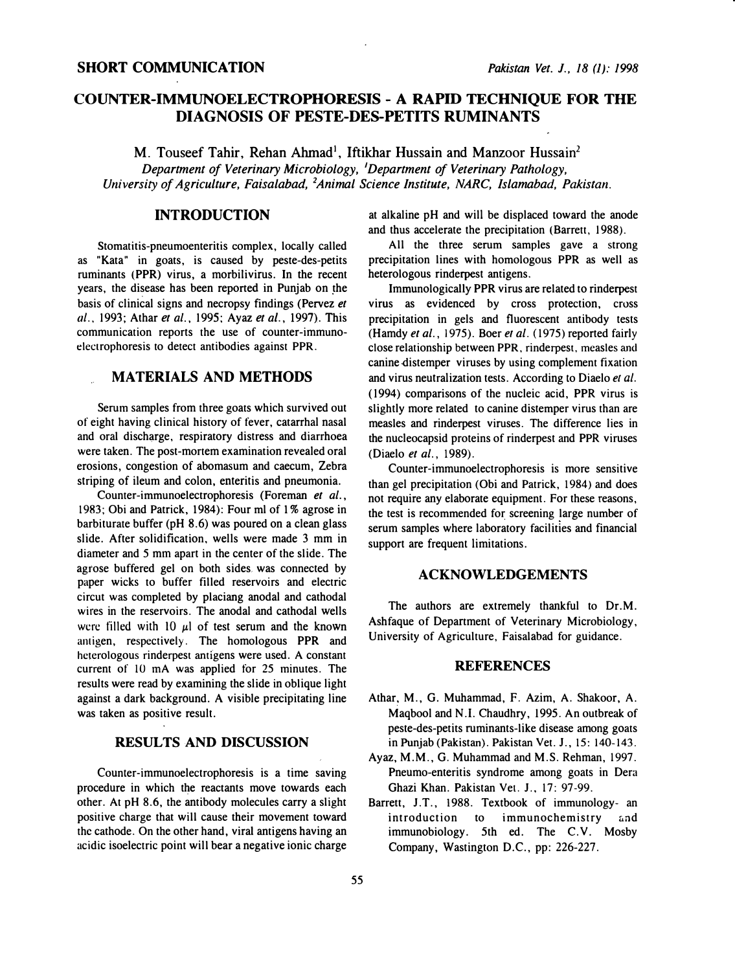### SHORT COMMUNICATION Pakistan Vet. J., 18 (1): 1998

# COUNTER-IMMUNOELECTROPHORESIS - A RAPID TECHNIQUE FOR THE DIAGNOSIS OF PESTE-DES-PETITS RUMINANTS

M. Touseef Tahir, Rehan Ahmad<sup>1</sup>, Iftikhar Hussain and Manzoor Hussain<sup>2</sup> Department of Veterinary Microbiology, 'Department of Veterinary Pathology, University of Agriculture, Faisalabad, <sup>2</sup>Animal Science Institute, NARC, Islamabad, Pakistan.

### INTRODUCTION

Stomatitis-pneumoenteritis complex, locally called as "Kata" in goats, is caused by peste-des-petits ruminants (PPR) virus, a morbilivirus. In the recent years, the disease has been reported in Punjab on the basis of clinical signs and necropsy findings (Pervez et al., 1993; Athar et al., 1995; Ayaz et al., 1997). This communication reports the use of counter-immunoelectrophoresis to detect antibodies against PPR.

## MATERIALS AND METHODS

Serum samples from three goats which survived out of eight having clinical history of fever, catarrhal nasal and oral discharge, respiratory distress and diarrhoea were taken. The post-mortem examination revealed oral erosions, congestion of abomasum and caecum, Zebra striping of ileum and colon, enteritis and pneumonia.

Counter-immunoelectrophoresis (Foreman et al., 1983; Obi and Patrick, 1984): Four ml of 1% agrose in barbiturate buffer (pH 8.6) was poured on a clean glass slide. After solidification, wells were made 3 mm in diameter and 5 mm apart in the center of the slide. The agrose buffered gel on both sides was connected by paper wicks to buffer filled reservoirs and electric circut was completed by placiang anodal and cathodal wires in the reservoirs. The anodal and cathodal wells were filled with 10  $\mu$ l of test serum and the known amigen, respectively. The homologous PPR and heterologous rinderpest antigens were used. A constant current of 10 mA was applied for 25 minutes. The results were read by examining the slide in oblique light against a dark background. A visible precipitating line was taken as positive result.

### RESULTS AND DISCUSSION

Counter-immunoelectrophoresis is a time saving procedure in which the reactants move towards each other. At pH 8.6, the antibody molecules carry a slight positive charge that will cause their movement toward the cathode. On the other hand, viral antigens having an acidic isoelectric point will bear a negative ionic charge

at alkaline pH and will be displaced toward the anode and thus accelerate the precipitation (Barrett, 1988).

All the three serum samples gave a strong precipitation lines with homologous PPR as well as heterologous rinderpest antigens.

Immunologically PPR virus are related to rinderpest virus as evidenced by cross protection, cross precipitation in gels and fluorescent antibody tests (Hamdy et al., 1975). Boer et al. (1975) reported fairly close relationship between PPR, rinderpest, measles and canine distemper viruses by using complement fixation and virus neutralization tests. According to Diaelo et al. (1994) comparisons of the nucleic acid, PPR virus is slightly more related to canine distemper virus than are measles and rinderpest viruses. The difference lies in the nucleocapsid proteins of rinderpest and PPR viruses (Diaelo et al., 1989).

Counter-immunoelectrophoresis is more sensitive than gel precipitation (Obi and Patrick, 1984) and does not require any elaborate equipment. For these reasons, the test is recommended for screening large number of serum samples where laboratory facilities and financial support are frequent limitations.

#### ACKNOWLEDGEMENTS

The authors are extremely thankful to Dr.M. Ashfaque of Department of Veterinary Microbiology, University of Agriculture, Faisalabad for guidance.

### **REFERENCES**

- Athar, M., G. Muhammad, F. Azim, A. Shakoor, A. Maqbool and N.l. Chaudhry, 1995. An outbreak of peste-des-petits ruminants-like disease among goats in Punjab (Pakistan). Pakistan Vet. J., 15: 140-143.
- Ayaz, M.M., G. Muhammad and M.S. Rehman, 1997. Pneumo-enteritis syndrome among goats in Dera Ghazi Khan. Pakistan Vet. J., 17: 97-99.
- Barrett, J.T., 1988. Textbook of immunology- an introduction to immunochemistry and immunobiology. 5th ed. The C.V. Mosby Company, Wastington D.C., pp: 226-227.